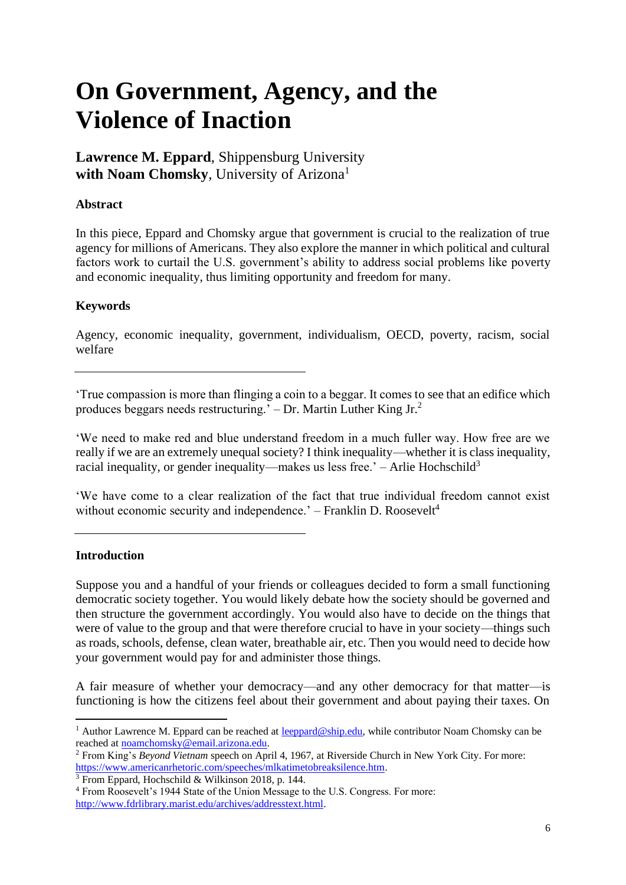# **On Government, Agency, and the Violence of Inaction**

## **Lawrence M. Eppard**, Shippensburg University with Noam Chomsky, University of Arizona<sup>1</sup>

#### **Abstract**

In this piece, Eppard and Chomsky argue that government is crucial to the realization of true agency for millions of Americans. They also explore the manner in which political and cultural factors work to curtail the U.S. government's ability to address social problems like poverty and economic inequality, thus limiting opportunity and freedom for many.

#### **Keywords**

Agency, economic inequality, government, individualism, OECD, poverty, racism, social welfare

'True compassion is more than flinging a coin to a beggar. It comes to see that an edifice which produces beggars needs restructuring.' – Dr. Martin Luther King Jr.<sup>2</sup>

'We need to make red and blue understand freedom in a much fuller way. How free are we really if we are an extremely unequal society? I think inequality—whether it is class inequality, racial inequality, or gender inequality—makes us less free.' – Arlie Hochschild<sup>3</sup>

'We have come to a clear realization of the fact that true individual freedom cannot exist without economic security and independence.' – Franklin D. Roosevelt<sup>4</sup>

### **Introduction**

Suppose you and a handful of your friends or colleagues decided to form a small functioning democratic society together. You would likely debate how the society should be governed and then structure the government accordingly. You would also have to decide on the things that were of value to the group and that were therefore crucial to have in your society—things such as roads, schools, defense, clean water, breathable air, etc. Then you would need to decide how your government would pay for and administer those things.

A fair measure of whether your democracy—and any other democracy for that matter—is functioning is how the citizens feel about their government and about paying their taxes. On

<sup>&</sup>lt;sup>1</sup> Author Lawrence M. Eppard can be reached a[t leeppard@ship.edu,](about:blank) while contributor Noam Chomsky can be reached at [noamchomsky@email.arizona.edu.](about:blank)

<sup>2</sup> From King's *Beyond Vietnam* speech on April 4, 1967, at Riverside Church in New York City. For more: [https://www.americanrhetoric.com/speeches/mlkatimetobreaksilence.htm.](about:blank)

<sup>3</sup> From Eppard, Hochschild & Wilkinson 2018, p. 144.

<sup>4</sup> From Roosevelt's 1944 State of the Union Message to the U.S. Congress. For more: [http://www.fdrlibrary.marist.edu/archives/addresstext.html.](about:blank)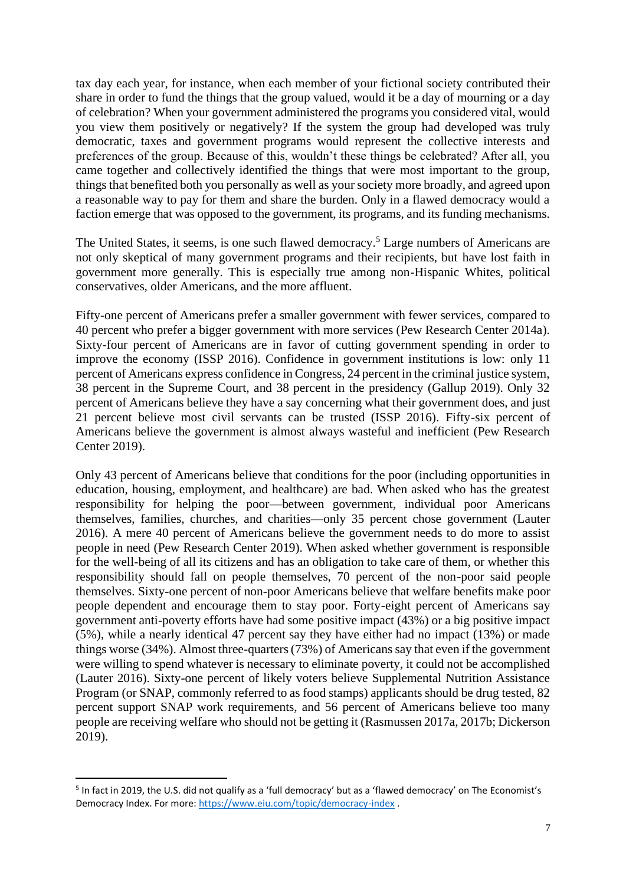tax day each year, for instance, when each member of your fictional society contributed their share in order to fund the things that the group valued, would it be a day of mourning or a day of celebration? When your government administered the programs you considered vital, would you view them positively or negatively? If the system the group had developed was truly democratic, taxes and government programs would represent the collective interests and preferences of the group. Because of this, wouldn't these things be celebrated? After all, you came together and collectively identified the things that were most important to the group, things that benefited both you personally as well as your society more broadly, and agreed upon a reasonable way to pay for them and share the burden. Only in a flawed democracy would a faction emerge that was opposed to the government, its programs, and its funding mechanisms.

The United States, it seems, is one such flawed democracy.<sup>5</sup> Large numbers of Americans are not only skeptical of many government programs and their recipients, but have lost faith in government more generally. This is especially true among non-Hispanic Whites, political conservatives, older Americans, and the more affluent.

Fifty-one percent of Americans prefer a smaller government with fewer services, compared to 40 percent who prefer a bigger government with more services (Pew Research Center 2014a). Sixty-four percent of Americans are in favor of cutting government spending in order to improve the economy (ISSP 2016). Confidence in government institutions is low: only 11 percent of Americans express confidence in Congress, 24 percent in the criminal justice system, 38 percent in the Supreme Court, and 38 percent in the presidency (Gallup 2019). Only 32 percent of Americans believe they have a say concerning what their government does, and just 21 percent believe most civil servants can be trusted (ISSP 2016). Fifty-six percent of Americans believe the government is almost always wasteful and inefficient (Pew Research Center 2019).

Only 43 percent of Americans believe that conditions for the poor (including opportunities in education, housing, employment, and healthcare) are bad. When asked who has the greatest responsibility for helping the poor—between government, individual poor Americans themselves, families, churches, and charities—only 35 percent chose government (Lauter 2016). A mere 40 percent of Americans believe the government needs to do more to assist people in need (Pew Research Center 2019). When asked whether government is responsible for the well-being of all its citizens and has an obligation to take care of them, or whether this responsibility should fall on people themselves, 70 percent of the non-poor said people themselves. Sixty-one percent of non-poor Americans believe that welfare benefits make poor people dependent and encourage them to stay poor. Forty-eight percent of Americans say government anti-poverty efforts have had some positive impact (43%) or a big positive impact (5%), while a nearly identical 47 percent say they have either had no impact (13%) or made things worse (34%). Almost three-quarters (73%) of Americans say that even if the government were willing to spend whatever is necessary to eliminate poverty, it could not be accomplished (Lauter 2016). Sixty-one percent of likely voters believe Supplemental Nutrition Assistance Program (or SNAP, commonly referred to as food stamps) applicants should be drug tested, 82 percent support SNAP work requirements, and 56 percent of Americans believe too many people are receiving welfare who should not be getting it (Rasmussen 2017a, 2017b; Dickerson 2019).

<sup>&</sup>lt;sup>5</sup> In fact in 2019, the U.S. did not qualify as a 'full democracy' but as a 'flawed democracy' on The Economist's Democracy Index. For more:<https://www.eiu.com/topic/democracy-index> .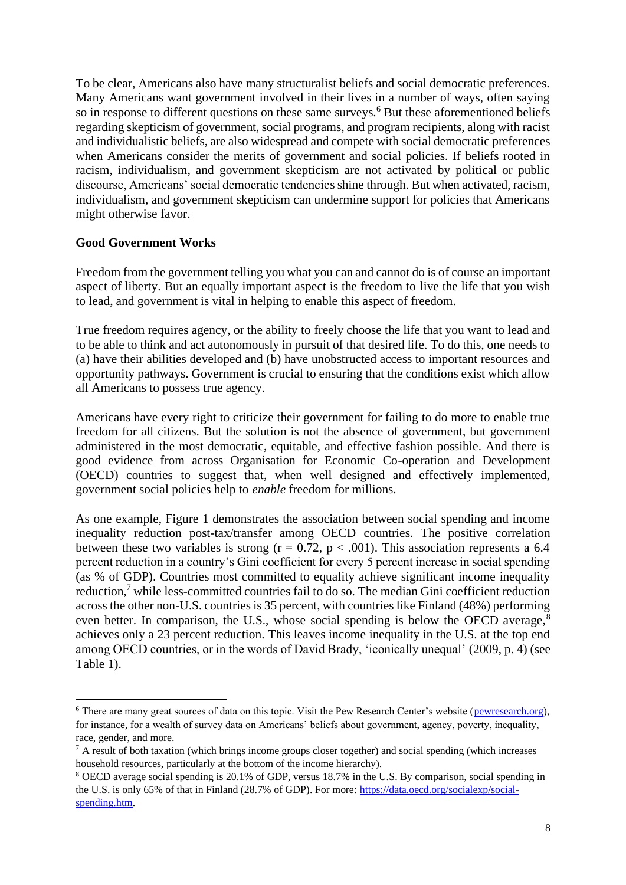To be clear, Americans also have many structuralist beliefs and social democratic preferences. Many Americans want government involved in their lives in a number of ways, often saying so in response to different questions on these same surveys.<sup>6</sup> But these aforementioned beliefs regarding skepticism of government, social programs, and program recipients, along with racist and individualistic beliefs, are also widespread and compete with social democratic preferences when Americans consider the merits of government and social policies. If beliefs rooted in racism, individualism, and government skepticism are not activated by political or public discourse, Americans' social democratic tendencies shine through. But when activated, racism, individualism, and government skepticism can undermine support for policies that Americans might otherwise favor.

#### **Good Government Works**

Freedom from the government telling you what you can and cannot do is of course an important aspect of liberty. But an equally important aspect is the freedom to live the life that you wish to lead, and government is vital in helping to enable this aspect of freedom.

True freedom requires agency, or the ability to freely choose the life that you want to lead and to be able to think and act autonomously in pursuit of that desired life. To do this, one needs to (a) have their abilities developed and (b) have unobstructed access to important resources and opportunity pathways. Government is crucial to ensuring that the conditions exist which allow all Americans to possess true agency.

Americans have every right to criticize their government for failing to do more to enable true freedom for all citizens. But the solution is not the absence of government, but government administered in the most democratic, equitable, and effective fashion possible. And there is good evidence from across Organisation for Economic Co-operation and Development (OECD) countries to suggest that, when well designed and effectively implemented, government social policies help to *enable* freedom for millions.

As one example, Figure 1 demonstrates the association between social spending and income inequality reduction post-tax/transfer among OECD countries. The positive correlation between these two variables is strong ( $r = 0.72$ ,  $p < .001$ ). This association represents a 6.4 percent reduction in a country's Gini coefficient for every 5 percent increase in social spending (as % of GDP). Countries most committed to equality achieve significant income inequality reduction,<sup>7</sup> while less-committed countries fail to do so. The median Gini coefficient reduction across the other non-U.S. countries is 35 percent, with countries like Finland (48%) performing even better. In comparison, the U.S., whose social spending is below the OECD average, $8$ achieves only a 23 percent reduction. This leaves income inequality in the U.S. at the top end among OECD countries, or in the words of David Brady, 'iconically unequal' (2009, p. 4) (see Table 1).

<sup>6</sup> There are many great sources of data on this topic. Visit the Pew Research Center's website [\(pewresearch.org\)](about:blank), for instance, for a wealth of survey data on Americans' beliefs about government, agency, poverty, inequality, race, gender, and more.

<sup>7</sup> A result of both taxation (which brings income groups closer together) and social spending (which increases household resources, particularly at the bottom of the income hierarchy).

<sup>8</sup> OECD average social spending is 20.1% of GDP, versus 18.7% in the U.S. By comparison, social spending in the U.S. is only 65% of that in Finland (28.7% of GDP). For more: [https://data.oecd.org/socialexp/social](about:blank)[spending.htm.](about:blank)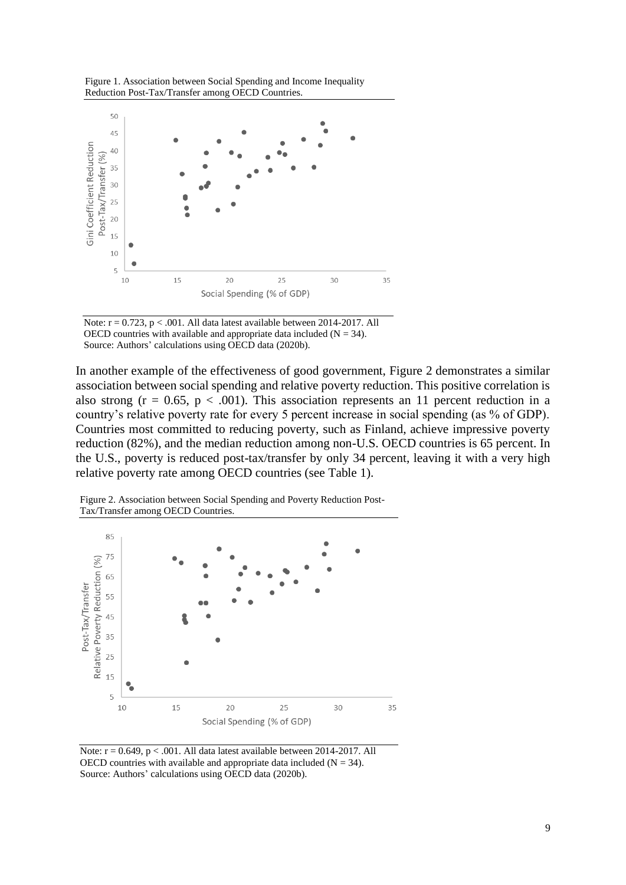



Note:  $r = 0.723$ ,  $p < .001$ . All data latest available between 2014-2017. All OECD countries with available and appropriate data included  $(N = 34)$ . Source: Authors' calculations using OECD data (2020b).

In another example of the effectiveness of good government, Figure 2 demonstrates a similar association between social spending and relative poverty reduction. This positive correlation is also strong ( $r = 0.65$ ,  $p < .001$ ). This association represents an 11 percent reduction in a country's relative poverty rate for every 5 percent increase in social spending (as % of GDP). Countries most committed to reducing poverty, such as Finland, achieve impressive poverty reduction (82%), and the median reduction among non-U.S. OECD countries is 65 percent. In the U.S., poverty is reduced post-tax/transfer by only 34 percent, leaving it with a very high relative poverty rate among OECD countries (see Table 1).

Figure 2. Association between Social Spending and Poverty Reduction Post-Tax/Transfer among OECD Countries.



Note:  $r = 0.649$ ,  $p < .001$ . All data latest available between 2014-2017. All OECD countries with available and appropriate data included  $(N = 34)$ . Source: Authors' calculations using OECD data (2020b).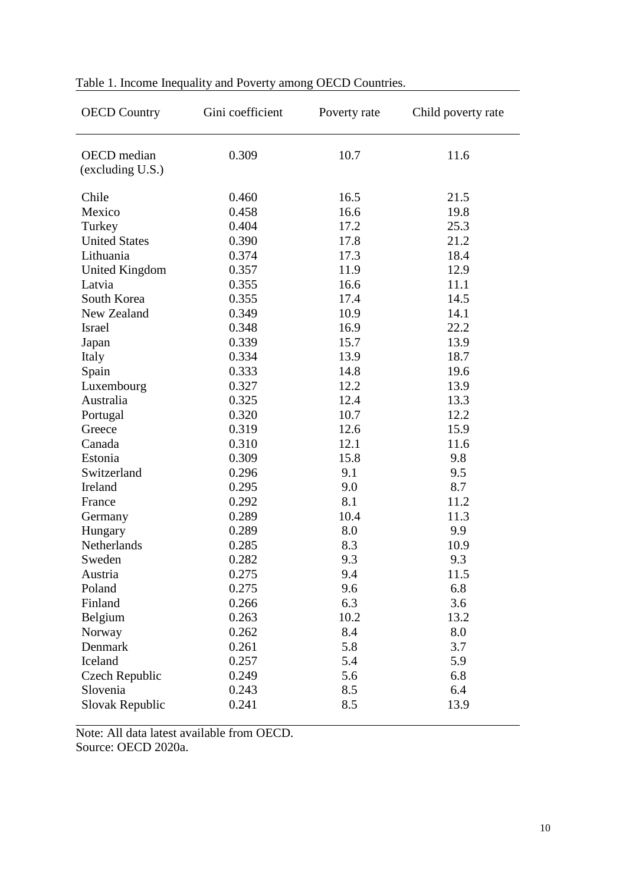| <b>OECD Country</b>   | Gini coefficient | Poverty rate | Child poverty rate |
|-----------------------|------------------|--------------|--------------------|
| <b>OECD</b> median    | 0.309            | 10.7         | 11.6               |
| (excluding U.S.)      |                  |              |                    |
| Chile                 | 0.460            | 16.5         | 21.5               |
| Mexico                | 0.458            | 16.6         | 19.8               |
| Turkey                | 0.404            | 17.2         | 25.3               |
| <b>United States</b>  | 0.390            | 17.8         | 21.2               |
| Lithuania             | 0.374            | 17.3         | 18.4               |
| <b>United Kingdom</b> | 0.357            | 11.9         | 12.9               |
| Latvia                | 0.355            | 16.6         | 11.1               |
| South Korea           | 0.355            | 17.4         | 14.5               |
| New Zealand           | 0.349            | 10.9         | 14.1               |
| <b>Israel</b>         | 0.348            | 16.9         | 22.2               |
| Japan                 | 0.339            | 15.7         | 13.9               |
| Italy                 | 0.334            | 13.9         | 18.7               |
| Spain                 | 0.333            | 14.8         | 19.6               |
| Luxembourg            | 0.327            | 12.2         | 13.9               |
| Australia             | 0.325            | 12.4         | 13.3               |
| Portugal              | 0.320            | 10.7         | 12.2               |
| Greece                | 0.319            | 12.6         | 15.9               |
| Canada                | 0.310            | 12.1         | 11.6               |
| Estonia               | 0.309            | 15.8         | 9.8                |
| Switzerland           | 0.296            | 9.1          | 9.5                |
| Ireland               | 0.295            | 9.0          | 8.7                |
| France                | 0.292            | 8.1          | 11.2               |
| Germany               | 0.289            | 10.4         | 11.3               |
| Hungary               | 0.289            | 8.0          | 9.9                |
| Netherlands           | 0.285            | 8.3          | 10.9               |
| Sweden                | 0.282            | 9.3          | 9.3                |
| Austria               | 0.275            | 9.4          | 11.5               |
| Poland                | 0.275            | 9.6          | 6.8                |
| Finland               | 0.266            | 6.3          | 3.6                |
| Belgium               | 0.263            | 10.2         | 13.2               |
| Norway                | 0.262            | 8.4          | 8.0                |
| Denmark               | 0.261            | 5.8          | 3.7                |
| Iceland               | 0.257            | 5.4          | 5.9                |
| Czech Republic        | 0.249            | 5.6          | 6.8                |
| Slovenia              | 0.243            | 8.5          | 6.4                |
| Slovak Republic       | 0.241            | 8.5          | 13.9               |

## Table 1. Income Inequality and Poverty among OECD Countries.

Note: All data latest available from OECD. Source: OECD 2020a.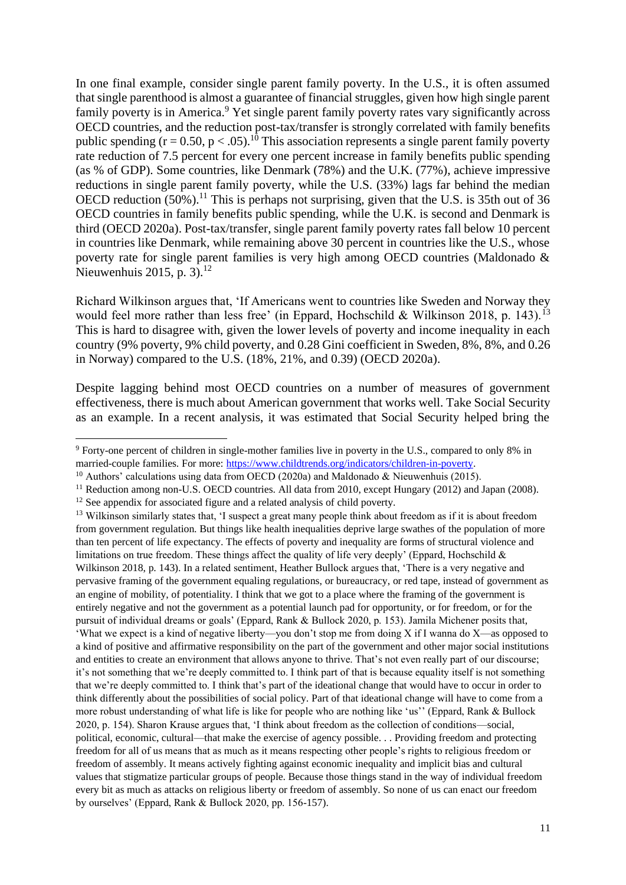In one final example, consider single parent family poverty. In the U.S., it is often assumed that single parenthood is almost a guarantee of financial struggles, given how high single parent family poverty is in America.<sup>9</sup> Yet single parent family poverty rates vary significantly across OECD countries, and the reduction post-tax/transfer is strongly correlated with family benefits public spending  $(r = 0.50, p < .05).$ <sup>10</sup> This association represents a single parent family poverty rate reduction of 7.5 percent for every one percent increase in family benefits public spending (as % of GDP). Some countries, like Denmark (78%) and the U.K. (77%), achieve impressive reductions in single parent family poverty, while the U.S. (33%) lags far behind the median OECD reduction  $(50\%)$ .<sup>11</sup> This is perhaps not surprising, given that the U.S. is 35th out of 36 OECD countries in family benefits public spending, while the U.K. is second and Denmark is third (OECD 2020a). Post-tax/transfer, single parent family poverty rates fall below 10 percent in countries like Denmark, while remaining above 30 percent in countries like the U.S., whose poverty rate for single parent families is very high among OECD countries (Maldonado & Nieuwenhuis 2015, p. 3).<sup>12</sup>

Richard Wilkinson argues that, 'If Americans went to countries like Sweden and Norway they would feel more rather than less free' (in Eppard, Hochschild & Wilkinson 2018, p. 143).<sup>13</sup> This is hard to disagree with, given the lower levels of poverty and income inequality in each country (9% poverty, 9% child poverty, and 0.28 Gini coefficient in Sweden, 8%, 8%, and 0.26 in Norway) compared to the U.S. (18%, 21%, and 0.39) (OECD 2020a).

Despite lagging behind most OECD countries on a number of measures of government effectiveness, there is much about American government that works well. Take Social Security as an example. In a recent analysis, it was estimated that Social Security helped bring the

<sup>&</sup>lt;sup>9</sup> Forty-one percent of children in single-mother families live in poverty in the U.S., compared to only 8% in married-couple families. For more: [https://www.childtrends.org/indicators/children-in-poverty.](about:blank)

<sup>&</sup>lt;sup>10</sup> Authors' calculations using data from OECD (2020a) and Maldonado & Nieuwenhuis (2015).

<sup>&</sup>lt;sup>11</sup> Reduction among non-U.S. OECD countries. All data from 2010, except Hungary (2012) and Japan (2008).

<sup>&</sup>lt;sup>12</sup> See appendix for associated figure and a related analysis of child poverty.

<sup>&</sup>lt;sup>13</sup> Wilkinson similarly states that, 'I suspect a great many people think about freedom as if it is about freedom from government regulation. But things like health inequalities deprive large swathes of the population of more than ten percent of life expectancy. The effects of poverty and inequality are forms of structural violence and limitations on true freedom. These things affect the quality of life very deeply' (Eppard, Hochschild  $\&$ Wilkinson 2018, p. 143). In a related sentiment, Heather Bullock argues that, 'There is a very negative and pervasive framing of the government equaling regulations, or bureaucracy, or red tape, instead of government as an engine of mobility, of potentiality. I think that we got to a place where the framing of the government is entirely negative and not the government as a potential launch pad for opportunity, or for freedom, or for the pursuit of individual dreams or goals' (Eppard, Rank & Bullock 2020, p. 153). Jamila Michener posits that, 'What we expect is a kind of negative liberty—you don't stop me from doing X if I wanna do X—as opposed to a kind of positive and affirmative responsibility on the part of the government and other major social institutions and entities to create an environment that allows anyone to thrive. That's not even really part of our discourse; it's not something that we're deeply committed to. I think part of that is because equality itself is not something that we're deeply committed to. I think that's part of the ideational change that would have to occur in order to think differently about the possibilities of social policy. Part of that ideational change will have to come from a more robust understanding of what life is like for people who are nothing like 'us'' (Eppard, Rank & Bullock 2020, p. 154). Sharon Krause argues that, 'I think about freedom as the collection of conditions—social, political, economic, cultural—that make the exercise of agency possible. . . Providing freedom and protecting freedom for all of us means that as much as it means respecting other people's rights to religious freedom or freedom of assembly. It means actively fighting against economic inequality and implicit bias and cultural values that stigmatize particular groups of people. Because those things stand in the way of individual freedom every bit as much as attacks on religious liberty or freedom of assembly. So none of us can enact our freedom by ourselves' (Eppard, Rank & Bullock 2020, pp. 156-157).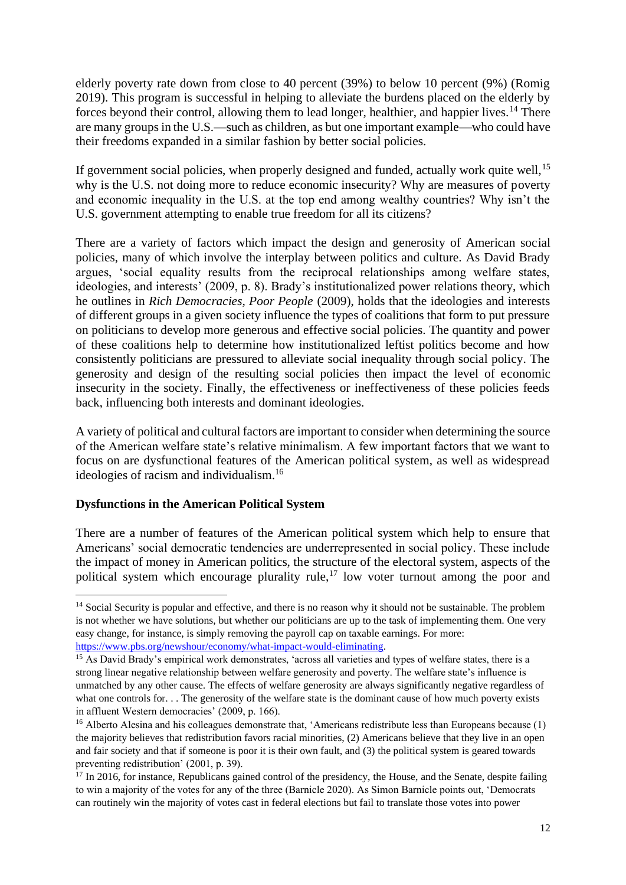elderly poverty rate down from close to 40 percent (39%) to below 10 percent (9%) (Romig 2019). This program is successful in helping to alleviate the burdens placed on the elderly by forces beyond their control, allowing them to lead longer, healthier, and happier lives.<sup>14</sup> There are many groups in the U.S.—such as children, as but one important example—who could have their freedoms expanded in a similar fashion by better social policies.

If government social policies, when properly designed and funded, actually work quite well.<sup>15</sup> why is the U.S. not doing more to reduce economic insecurity? Why are measures of poverty and economic inequality in the U.S. at the top end among wealthy countries? Why isn't the U.S. government attempting to enable true freedom for all its citizens?

There are a variety of factors which impact the design and generosity of American social policies, many of which involve the interplay between politics and culture. As David Brady argues, 'social equality results from the reciprocal relationships among welfare states, ideologies, and interests' (2009, p. 8). Brady's institutionalized power relations theory, which he outlines in *Rich Democracies, Poor People* (2009), holds that the ideologies and interests of different groups in a given society influence the types of coalitions that form to put pressure on politicians to develop more generous and effective social policies. The quantity and power of these coalitions help to determine how institutionalized leftist politics become and how consistently politicians are pressured to alleviate social inequality through social policy. The generosity and design of the resulting social policies then impact the level of economic insecurity in the society. Finally, the effectiveness or ineffectiveness of these policies feeds back, influencing both interests and dominant ideologies.

A variety of political and cultural factors are important to consider when determining the source of the American welfare state's relative minimalism. A few important factors that we want to focus on are dysfunctional features of the American political system, as well as widespread ideologies of racism and individualism.<sup>16</sup>

#### **Dysfunctions in the American Political System**

There are a number of features of the American political system which help to ensure that Americans' social democratic tendencies are underrepresented in social policy. These include the impact of money in American politics, the structure of the electoral system, aspects of the political system which encourage plurality rule, $17 \text{ low}$  voter turnout among the poor and

<sup>&</sup>lt;sup>14</sup> Social Security is popular and effective, and there is no reason why it should not be sustainable. The problem is not whether we have solutions, but whether our politicians are up to the task of implementing them. One very easy change, for instance, is simply removing the payroll cap on taxable earnings. For more: [https://www.pbs.org/newshour/economy/what-impact-would-eliminating.](about:blank)

<sup>&</sup>lt;sup>15</sup> As David Brady's empirical work demonstrates, 'across all varieties and types of welfare states, there is a strong linear negative relationship between welfare generosity and poverty. The welfare state's influence is unmatched by any other cause. The effects of welfare generosity are always significantly negative regardless of what one controls for. . . The generosity of the welfare state is the dominant cause of how much poverty exists in affluent Western democracies' (2009, p. 166).

<sup>&</sup>lt;sup>16</sup> Alberto Alesina and his colleagues demonstrate that, 'Americans redistribute less than Europeans because (1) the majority believes that redistribution favors racial minorities, (2) Americans believe that they live in an open and fair society and that if someone is poor it is their own fault, and (3) the political system is geared towards preventing redistribution' (2001, p. 39).

<sup>&</sup>lt;sup>17</sup> In 2016, for instance, Republicans gained control of the presidency, the House, and the Senate, despite failing to win a majority of the votes for any of the three (Barnicle 2020). As Simon Barnicle points out, 'Democrats can routinely win the majority of votes cast in federal elections but fail to translate those votes into power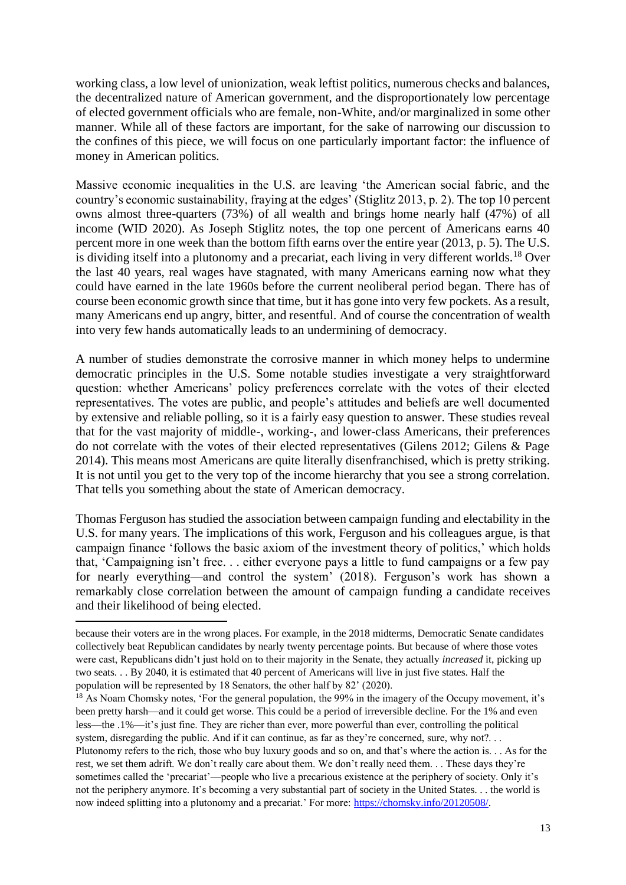working class, a low level of unionization, weak leftist politics, numerous checks and balances, the decentralized nature of American government, and the disproportionately low percentage of elected government officials who are female, non-White, and/or marginalized in some other manner. While all of these factors are important, for the sake of narrowing our discussion to the confines of this piece, we will focus on one particularly important factor: the influence of money in American politics.

Massive economic inequalities in the U.S. are leaving 'the American social fabric, and the country's economic sustainability, fraying at the edges' (Stiglitz 2013, p. 2). The top 10 percent owns almost three-quarters (73%) of all wealth and brings home nearly half (47%) of all income (WID 2020). As Joseph Stiglitz notes, the top one percent of Americans earns 40 percent more in one week than the bottom fifth earns over the entire year (2013, p. 5). The U.S. is dividing itself into a plutonomy and a precariat, each living in very different worlds.<sup>18</sup> Over the last 40 years, real wages have stagnated, with many Americans earning now what they could have earned in the late 1960s before the current neoliberal period began. There has of course been economic growth since that time, but it has gone into very few pockets. As a result, many Americans end up angry, bitter, and resentful. And of course the concentration of wealth into very few hands automatically leads to an undermining of democracy.

A number of studies demonstrate the corrosive manner in which money helps to undermine democratic principles in the U.S. Some notable studies investigate a very straightforward question: whether Americans' policy preferences correlate with the votes of their elected representatives. The votes are public, and people's attitudes and beliefs are well documented by extensive and reliable polling, so it is a fairly easy question to answer. These studies reveal that for the vast majority of middle-, working-, and lower-class Americans, their preferences do not correlate with the votes of their elected representatives (Gilens 2012; Gilens & Page 2014). This means most Americans are quite literally disenfranchised, which is pretty striking. It is not until you get to the very top of the income hierarchy that you see a strong correlation. That tells you something about the state of American democracy.

Thomas Ferguson has studied the association between campaign funding and electability in the U.S. for many years. The implications of this work, Ferguson and his colleagues argue, is that campaign finance 'follows the basic axiom of the investment theory of politics,' which holds that, 'Campaigning isn't free. . . either everyone pays a little to fund campaigns or a few pay for nearly everything—and control the system' (2018). Ferguson's work has shown a remarkably close correlation between the amount of campaign funding a candidate receives and their likelihood of being elected.

because their voters are in the wrong places. For example, in the 2018 midterms, Democratic Senate candidates collectively beat Republican candidates by nearly twenty percentage points. But because of where those votes were cast, Republicans didn't just hold on to their majority in the Senate, they actually *increased* it, picking up two seats. . . By 2040, it is estimated that 40 percent of Americans will live in just five states. Half the population will be represented by 18 Senators, the other half by 82' (2020).

<sup>&</sup>lt;sup>18</sup> As Noam Chomsky notes, 'For the general population, the 99% in the imagery of the Occupy movement, it's been pretty harsh—and it could get worse. This could be a period of irreversible decline. For the 1% and even less—the .1%—it's just fine. They are richer than ever, more powerful than ever, controlling the political system, disregarding the public. And if it can continue, as far as they're concerned, sure, why not?... Plutonomy refers to the rich, those who buy luxury goods and so on, and that's where the action is. . . As for the rest, we set them adrift. We don't really care about them. We don't really need them. . . These days they're sometimes called the 'precariat'—people who live a precarious existence at the periphery of society. Only it's not the periphery anymore. It's becoming a very substantial part of society in the United States. . . the world is now indeed splitting into a plutonomy and a precariat.' For more: [https://chomsky.info/20120508/.](about:blank)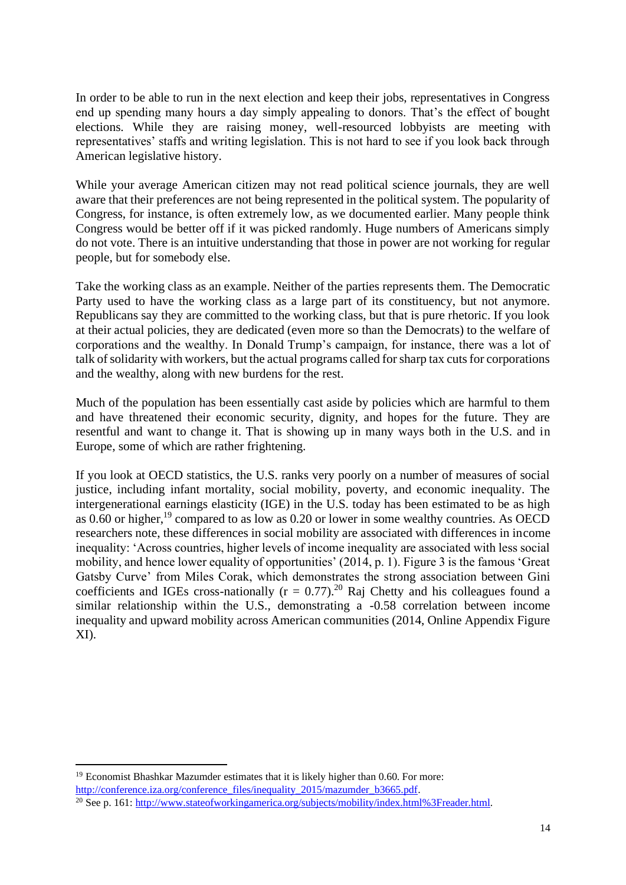In order to be able to run in the next election and keep their jobs, representatives in Congress end up spending many hours a day simply appealing to donors. That's the effect of bought elections. While they are raising money, well-resourced lobbyists are meeting with representatives' staffs and writing legislation. This is not hard to see if you look back through American legislative history.

While your average American citizen may not read political science journals, they are well aware that their preferences are not being represented in the political system. The popularity of Congress, for instance, is often extremely low, as we documented earlier. Many people think Congress would be better off if it was picked randomly. Huge numbers of Americans simply do not vote. There is an intuitive understanding that those in power are not working for regular people, but for somebody else.

Take the working class as an example. Neither of the parties represents them. The Democratic Party used to have the working class as a large part of its constituency, but not anymore. Republicans say they are committed to the working class, but that is pure rhetoric. If you look at their actual policies, they are dedicated (even more so than the Democrats) to the welfare of corporations and the wealthy. In Donald Trump's campaign, for instance, there was a lot of talk of solidarity with workers, but the actual programs called for sharp tax cuts for corporations and the wealthy, along with new burdens for the rest.

Much of the population has been essentially cast aside by policies which are harmful to them and have threatened their economic security, dignity, and hopes for the future. They are resentful and want to change it. That is showing up in many ways both in the U.S. and in Europe, some of which are rather frightening.

If you look at OECD statistics, the U.S. ranks very poorly on a number of measures of social justice, including infant mortality, social mobility, poverty, and economic inequality. The intergenerational earnings elasticity (IGE) in the U.S. today has been estimated to be as high as 0.60 or higher,<sup>19</sup> compared to as low as 0.20 or lower in some wealthy countries. As OECD researchers note, these differences in social mobility are associated with differences in income inequality: 'Across countries, higher levels of income inequality are associated with less social mobility, and hence lower equality of opportunities' (2014, p. 1). Figure 3 is the famous 'Great Gatsby Curve' from Miles Corak, which demonstrates the strong association between Gini coefficients and IGEs cross-nationally ( $r = 0.77$ ).<sup>20</sup> Raj Chetty and his colleagues found a similar relationship within the U.S., demonstrating a -0.58 correlation between income inequality and upward mobility across American communities (2014, Online Appendix Figure XI).

<sup>&</sup>lt;sup>19</sup> Economist Bhashkar Mazumder estimates that it is likely higher than 0.60. For more:

[http://conference.iza.org/conference\\_files/inequality\\_2015/mazumder\\_b3665.pdf.](about:blank)

<sup>&</sup>lt;sup>20</sup> See p. 161[: http://www.stateofworkingamerica.org/subjects/mobility/index.html%3Freader.html.](about:blank)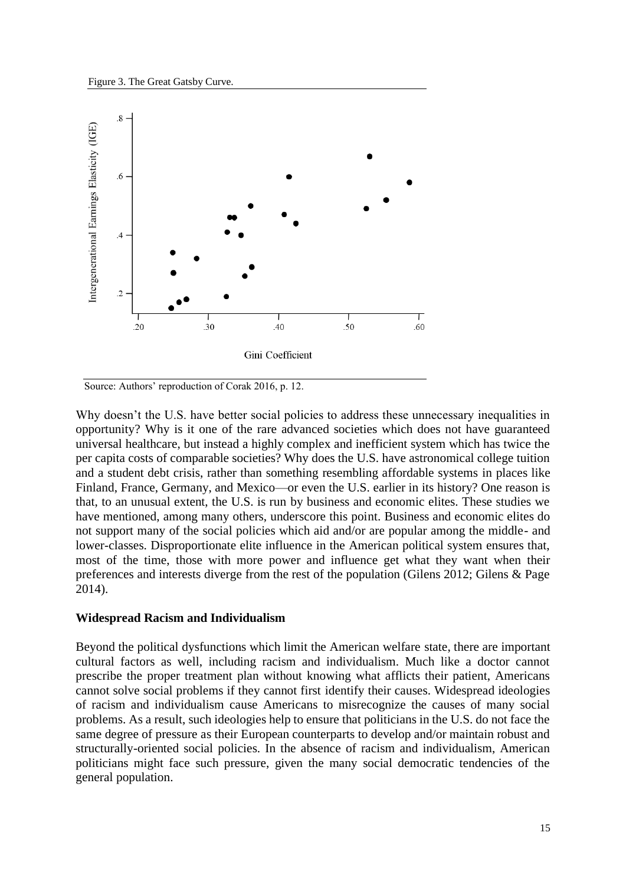

Source: Authors' reproduction of Corak 2016, p. 12.

Why doesn't the U.S. have better social policies to address these unnecessary inequalities in opportunity? Why is it one of the rare advanced societies which does not have guaranteed universal healthcare, but instead a highly complex and inefficient system which has twice the per capita costs of comparable societies? Why does the U.S. have astronomical college tuition and a student debt crisis, rather than something resembling affordable systems in places like Finland, France, Germany, and Mexico—or even the U.S. earlier in its history? One reason is that, to an unusual extent, the U.S. is run by business and economic elites. These studies we have mentioned, among many others, underscore this point. Business and economic elites do not support many of the social policies which aid and/or are popular among the middle- and lower-classes. Disproportionate elite influence in the American political system ensures that, most of the time, those with more power and influence get what they want when their preferences and interests diverge from the rest of the population (Gilens 2012; Gilens & Page 2014).

#### **Widespread Racism and Individualism**

Beyond the political dysfunctions which limit the American welfare state, there are important cultural factors as well, including racism and individualism. Much like a doctor cannot prescribe the proper treatment plan without knowing what afflicts their patient, Americans cannot solve social problems if they cannot first identify their causes. Widespread ideologies of racism and individualism cause Americans to misrecognize the causes of many social problems. As a result, such ideologies help to ensure that politicians in the U.S. do not face the same degree of pressure as their European counterparts to develop and/or maintain robust and structurally-oriented social policies. In the absence of racism and individualism, American politicians might face such pressure, given the many social democratic tendencies of the general population.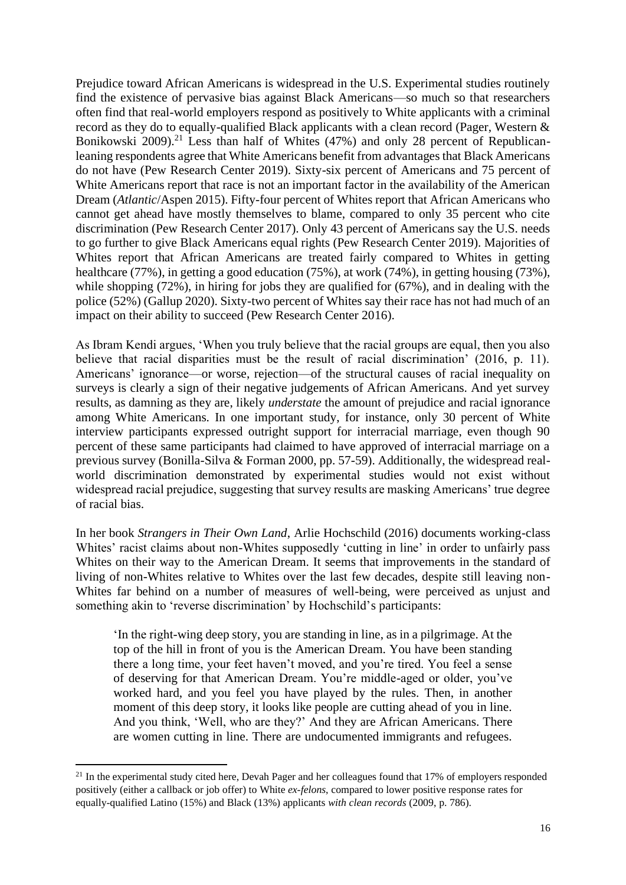Prejudice toward African Americans is widespread in the U.S. Experimental studies routinely find the existence of pervasive bias against Black Americans—so much so that researchers often find that real-world employers respond as positively to White applicants with a criminal record as they do to equally-qualified Black applicants with a clean record (Pager, Western & Bonikowski 2009).<sup>21</sup> Less than half of Whites  $(47%)$  and only 28 percent of Republicanleaning respondents agree that White Americans benefit from advantages that Black Americans do not have (Pew Research Center 2019). Sixty-six percent of Americans and 75 percent of White Americans report that race is not an important factor in the availability of the American Dream (*Atlantic*/Aspen 2015). Fifty-four percent of Whites report that African Americans who cannot get ahead have mostly themselves to blame, compared to only 35 percent who cite discrimination (Pew Research Center 2017). Only 43 percent of Americans say the U.S. needs to go further to give Black Americans equal rights (Pew Research Center 2019). Majorities of Whites report that African Americans are treated fairly compared to Whites in getting healthcare (77%), in getting a good education (75%), at work (74%), in getting housing (73%), while shopping (72%), in hiring for jobs they are qualified for (67%), and in dealing with the police (52%) (Gallup 2020). Sixty-two percent of Whites say their race has not had much of an impact on their ability to succeed (Pew Research Center 2016).

As Ibram Kendi argues, 'When you truly believe that the racial groups are equal, then you also believe that racial disparities must be the result of racial discrimination' (2016, p. 11). Americans' ignorance—or worse, rejection—of the structural causes of racial inequality on surveys is clearly a sign of their negative judgements of African Americans. And yet survey results, as damning as they are, likely *understate* the amount of prejudice and racial ignorance among White Americans. In one important study, for instance, only 30 percent of White interview participants expressed outright support for interracial marriage, even though 90 percent of these same participants had claimed to have approved of interracial marriage on a previous survey (Bonilla-Silva & Forman 2000, pp. 57-59). Additionally, the widespread realworld discrimination demonstrated by experimental studies would not exist without widespread racial prejudice, suggesting that survey results are masking Americans' true degree of racial bias.

In her book *Strangers in Their Own Land*, Arlie Hochschild (2016) documents working-class Whites' racist claims about non-Whites supposedly 'cutting in line' in order to unfairly pass Whites on their way to the American Dream. It seems that improvements in the standard of living of non-Whites relative to Whites over the last few decades, despite still leaving non-Whites far behind on a number of measures of well-being, were perceived as unjust and something akin to 'reverse discrimination' by Hochschild's participants:

'In the right-wing deep story, you are standing in line, as in a pilgrimage. At the top of the hill in front of you is the American Dream. You have been standing there a long time, your feet haven't moved, and you're tired. You feel a sense of deserving for that American Dream. You're middle-aged or older, you've worked hard, and you feel you have played by the rules. Then, in another moment of this deep story, it looks like people are cutting ahead of you in line. And you think, 'Well, who are they?' And they are African Americans. There are women cutting in line. There are undocumented immigrants and refugees.

<sup>&</sup>lt;sup>21</sup> In the experimental study cited here, Devah Pager and her colleagues found that 17% of employers responded positively (either a callback or job offer) to White *ex-felons*, compared to lower positive response rates for equally-qualified Latino (15%) and Black (13%) applicants *with clean records* (2009, p. 786).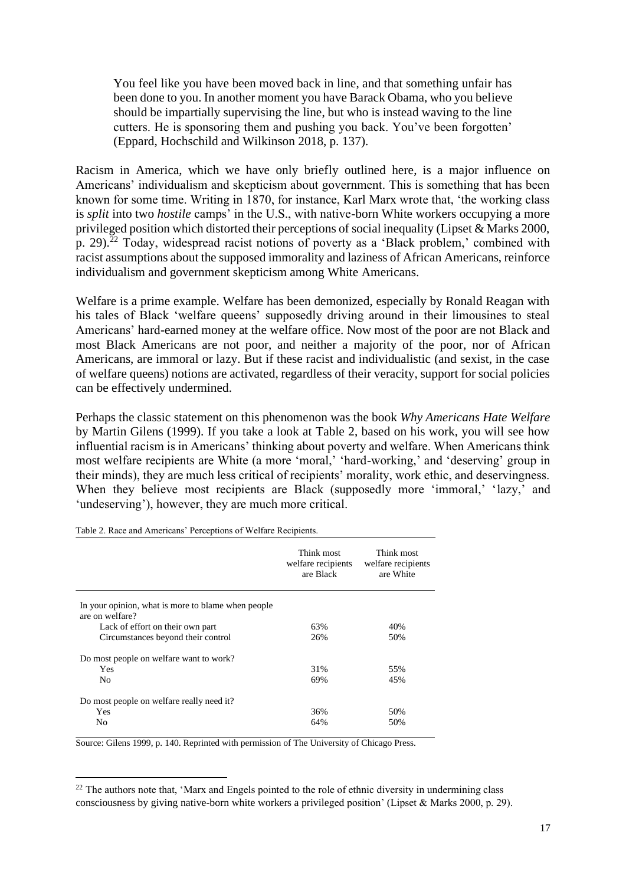You feel like you have been moved back in line, and that something unfair has been done to you. In another moment you have Barack Obama, who you believe should be impartially supervising the line, but who is instead waving to the line cutters. He is sponsoring them and pushing you back. You've been forgotten' (Eppard, Hochschild and Wilkinson 2018, p. 137).

Racism in America, which we have only briefly outlined here, is a major influence on Americans' individualism and skepticism about government. This is something that has been known for some time. Writing in 1870, for instance, Karl Marx wrote that, 'the working class is *split* into two *hostile* camps' in the U.S., with native-born White workers occupying a more privileged position which distorted their perceptions of social inequality (Lipset & Marks 2000, p. 29).<sup>22</sup> Today, widespread racist notions of poverty as a 'Black problem,' combined with racist assumptions about the supposed immorality and laziness of African Americans, reinforce individualism and government skepticism among White Americans.

Welfare is a prime example. Welfare has been demonized, especially by Ronald Reagan with his tales of Black 'welfare queens' supposedly driving around in their limousines to steal Americans' hard-earned money at the welfare office. Now most of the poor are not Black and most Black Americans are not poor, and neither a majority of the poor, nor of African Americans, are immoral or lazy. But if these racist and individualistic (and sexist, in the case of welfare queens) notions are activated, regardless of their veracity, support for social policies can be effectively undermined.

Perhaps the classic statement on this phenomenon was the book *Why Americans Hate Welfare*  by Martin Gilens (1999). If you take a look at Table 2, based on his work, you will see how influential racism is in Americans' thinking about poverty and welfare. When Americans think most welfare recipients are White (a more 'moral,' 'hard-working,' and 'deserving' group in their minds), they are much less critical of recipients' morality, work ethic, and deservingness. When they believe most recipients are Black (supposedly more 'immoral,' 'lazy,' and 'undeserving'), however, they are much more critical.

|                                                                       | Think most<br>welfare recipients<br>are Black | Think most<br>welfare recipients<br>are White |
|-----------------------------------------------------------------------|-----------------------------------------------|-----------------------------------------------|
| In your opinion, what is more to blame when people<br>are on welfare? |                                               |                                               |
| Lack of effort on their own part                                      | 63%                                           | 40%                                           |
| Circumstances beyond their control                                    | 26%                                           | 50%                                           |
| Do most people on welfare want to work?                               |                                               |                                               |
| <b>Yes</b>                                                            | 31%                                           | 55%                                           |
| N <sub>0</sub>                                                        | 69%                                           | 45%                                           |
| Do most people on welfare really need it?                             |                                               |                                               |
| <b>Yes</b>                                                            | 36%                                           | 50%                                           |
| No                                                                    | 64%                                           | 50%                                           |

Table 2. Race and Americans' Perceptions of Welfare Recipients.

Source: Gilens 1999, p. 140. Reprinted with permission of The University of Chicago Press.

<sup>&</sup>lt;sup>22</sup> The authors note that, 'Marx and Engels pointed to the role of ethnic diversity in undermining class consciousness by giving native-born white workers a privileged position' (Lipset & Marks 2000, p. 29).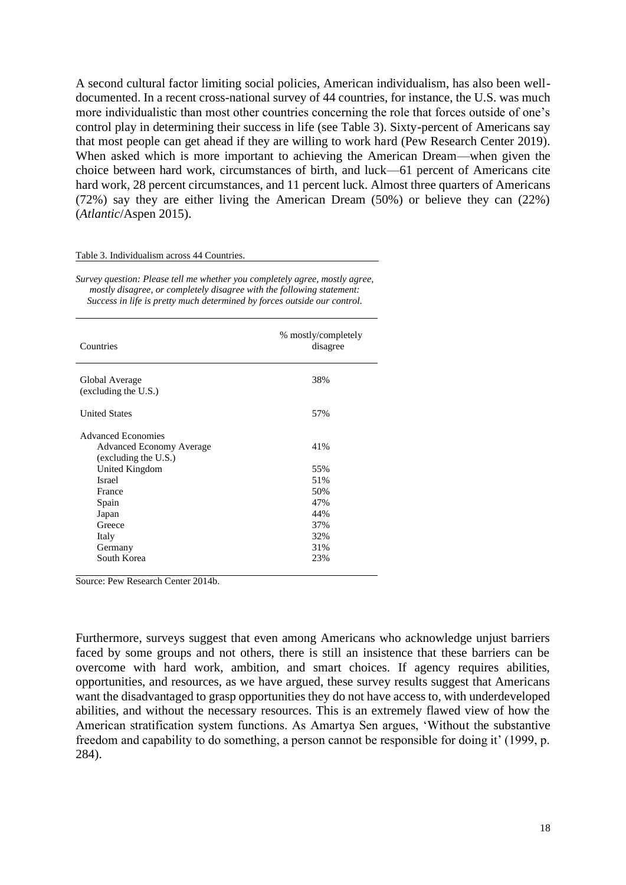A second cultural factor limiting social policies, American individualism, has also been welldocumented. In a recent cross-national survey of 44 countries, for instance, the U.S. was much more individualistic than most other countries concerning the role that forces outside of one's control play in determining their success in life (see Table 3). Sixty-percent of Americans say that most people can get ahead if they are willing to work hard (Pew Research Center 2019). When asked which is more important to achieving the American Dream—when given the choice between hard work, circumstances of birth, and luck—61 percent of Americans cite hard work, 28 percent circumstances, and 11 percent luck. Almost three quarters of Americans (72%) say they are either living the American Dream (50%) or believe they can (22%) (*Atlantic*/Aspen 2015).

#### Table 3. Individualism across 44 Countries.

| Countries                                                                            | % mostly/completely<br>disagree |
|--------------------------------------------------------------------------------------|---------------------------------|
| Global Average<br>(excluding the U.S.)                                               | 38%                             |
| <b>United States</b>                                                                 | 57%                             |
| <b>Advanced Economies</b><br><b>Advanced Economy Average</b><br>(excluding the U.S.) | 41%                             |
| <b>United Kingdom</b><br><b>Israel</b>                                               | 55%<br>51%                      |
| France<br>Spain                                                                      | 50%<br>47%                      |
| Japan<br>Greece                                                                      | 44%<br>37%                      |
| Italy<br>Germany                                                                     | 32%<br>31%                      |
| South Korea                                                                          | 23%                             |

*Survey question: Please tell me whether you completely agree, mostly agree, mostly disagree, or completely disagree with the following statement: Success in life is pretty much determined by forces outside our control.*

Source: Pew Research Center 2014b.

Furthermore, surveys suggest that even among Americans who acknowledge unjust barriers faced by some groups and not others, there is still an insistence that these barriers can be overcome with hard work, ambition, and smart choices. If agency requires abilities, opportunities, and resources, as we have argued, these survey results suggest that Americans want the disadvantaged to grasp opportunities they do not have access to, with underdeveloped abilities, and without the necessary resources. This is an extremely flawed view of how the American stratification system functions. As Amartya Sen argues, 'Without the substantive freedom and capability to do something, a person cannot be responsible for doing it' (1999, p. 284).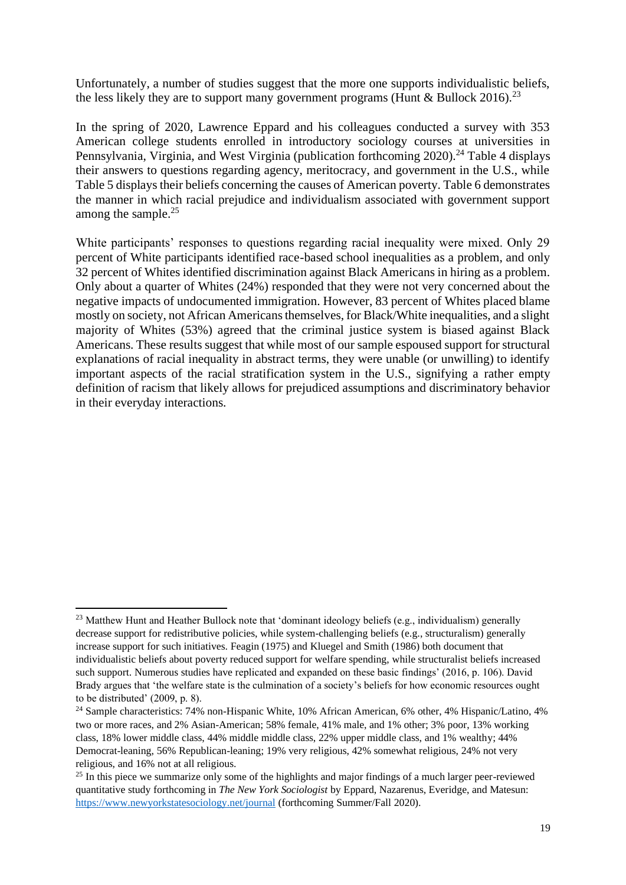Unfortunately, a number of studies suggest that the more one supports individualistic beliefs, the less likely they are to support many government programs (Hunt & Bullock 2016).<sup>23</sup>

In the spring of 2020, Lawrence Eppard and his colleagues conducted a survey with 353 American college students enrolled in introductory sociology courses at universities in Pennsylvania, Virginia, and West Virginia (publication forthcoming 2020).<sup>24</sup> Table 4 displays their answers to questions regarding agency, meritocracy, and government in the U.S., while Table 5 displays their beliefs concerning the causes of American poverty. Table 6 demonstrates the manner in which racial prejudice and individualism associated with government support among the sample.<sup>25</sup>

White participants' responses to questions regarding racial inequality were mixed. Only 29 percent of White participants identified race-based school inequalities as a problem, and only 32 percent of Whites identified discrimination against Black Americans in hiring as a problem. Only about a quarter of Whites (24%) responded that they were not very concerned about the negative impacts of undocumented immigration. However, 83 percent of Whites placed blame mostly on society, not African Americans themselves, for Black/White inequalities, and a slight majority of Whites (53%) agreed that the criminal justice system is biased against Black Americans. These results suggest that while most of our sample espoused support for structural explanations of racial inequality in abstract terms, they were unable (or unwilling) to identify important aspects of the racial stratification system in the U.S., signifying a rather empty definition of racism that likely allows for prejudiced assumptions and discriminatory behavior in their everyday interactions.

<sup>&</sup>lt;sup>23</sup> Matthew Hunt and Heather Bullock note that 'dominant ideology beliefs (e.g., individualism) generally decrease support for redistributive policies, while system-challenging beliefs (e.g., structuralism) generally increase support for such initiatives. Feagin (1975) and Kluegel and Smith (1986) both document that individualistic beliefs about poverty reduced support for welfare spending, while structuralist beliefs increased such support. Numerous studies have replicated and expanded on these basic findings' (2016, p. 106). David Brady argues that 'the welfare state is the culmination of a society's beliefs for how economic resources ought to be distributed' (2009, p. 8).

<sup>&</sup>lt;sup>24</sup> Sample characteristics: 74% non-Hispanic White, 10% African American, 6% other, 4% Hispanic/Latino, 4% two or more races, and 2% Asian-American; 58% female, 41% male, and 1% other; 3% poor, 13% working class, 18% lower middle class, 44% middle middle class, 22% upper middle class, and 1% wealthy; 44% Democrat-leaning, 56% Republican-leaning; 19% very religious, 42% somewhat religious, 24% not very religious, and 16% not at all religious.

<sup>&</sup>lt;sup>25</sup> In this piece we summarize only some of the highlights and major findings of a much larger peer-reviewed quantitative study forthcoming in *The New York Sociologist* by Eppard, Nazarenus, Everidge, and Matesun: [https://www.newyorkstatesociology.net/journal](about:blank) (forthcoming Summer/Fall 2020).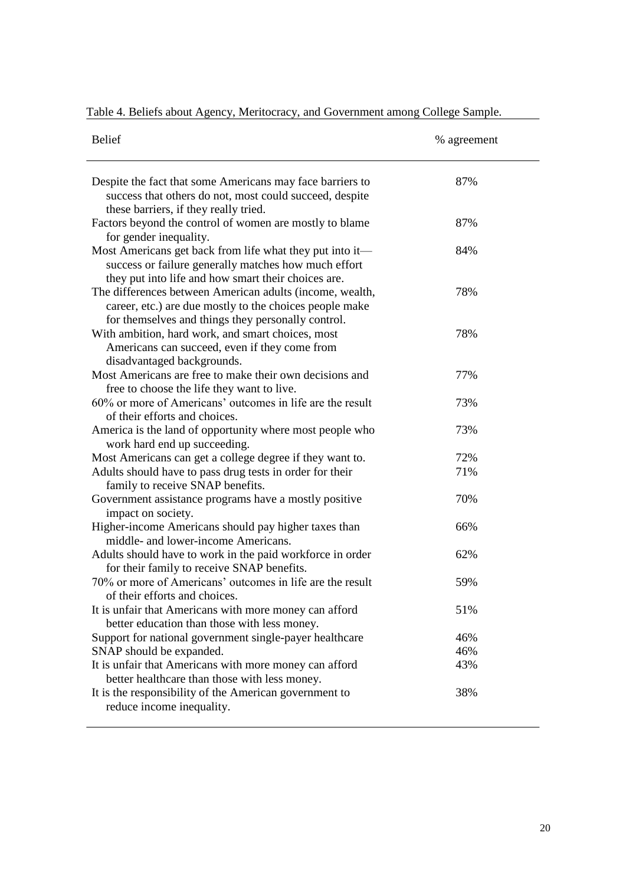| <b>Belief</b>                                                                                                                                                             | % agreement |
|---------------------------------------------------------------------------------------------------------------------------------------------------------------------------|-------------|
| Despite the fact that some Americans may face barriers to<br>success that others do not, most could succeed, despite<br>these barriers, if they really tried.             | 87%         |
| Factors beyond the control of women are mostly to blame<br>for gender inequality.                                                                                         | 87%         |
| Most Americans get back from life what they put into it-<br>success or failure generally matches how much effort<br>they put into life and how smart their choices are.   | 84%         |
| The differences between American adults (income, wealth,<br>career, etc.) are due mostly to the choices people make<br>for themselves and things they personally control. | 78%         |
| With ambition, hard work, and smart choices, most<br>Americans can succeed, even if they come from<br>disadvantaged backgrounds.                                          | 78%         |
| Most Americans are free to make their own decisions and<br>free to choose the life they want to live.                                                                     | 77%         |
| 60% or more of Americans' outcomes in life are the result<br>of their efforts and choices.                                                                                | 73%         |
| America is the land of opportunity where most people who<br>work hard end up succeeding.                                                                                  | 73%         |
| Most Americans can get a college degree if they want to.                                                                                                                  | 72%         |
| Adults should have to pass drug tests in order for their<br>family to receive SNAP benefits.                                                                              | 71%         |
| Government assistance programs have a mostly positive<br>impact on society.                                                                                               | 70%         |
| Higher-income Americans should pay higher taxes than<br>middle- and lower-income Americans.                                                                               | 66%         |
| Adults should have to work in the paid workforce in order<br>for their family to receive SNAP benefits.                                                                   | 62%         |
| 70% or more of Americans' outcomes in life are the result<br>of their efforts and choices.                                                                                | 59%         |
| It is unfair that Americans with more money can afford<br>better education than those with less money.                                                                    | 51%         |
| Support for national government single-payer healthcare                                                                                                                   | 46%         |
| SNAP should be expanded.                                                                                                                                                  | 46%         |
| It is unfair that Americans with more money can afford<br>better healthcare than those with less money.                                                                   | 43%         |
| It is the responsibility of the American government to<br>reduce income inequality.                                                                                       | 38%         |

|  |  | Table 4. Beliefs about Agency, Meritocracy, and Government among College Sample. |  |  |  |
|--|--|----------------------------------------------------------------------------------|--|--|--|
|  |  |                                                                                  |  |  |  |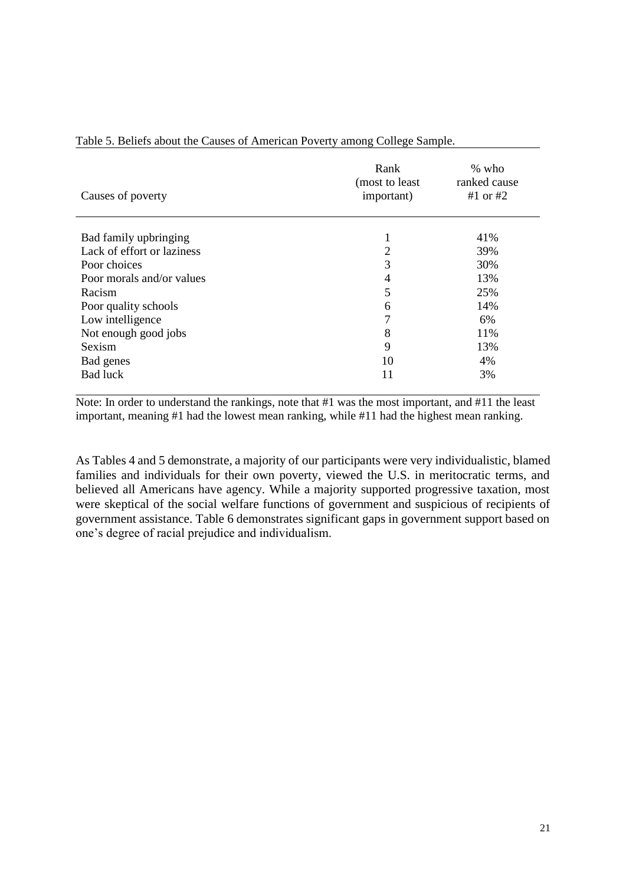| Causes of poverty          | Rank<br>(most to least)<br>important) | $%$ who<br>ranked cause<br>#1 or #2 |
|----------------------------|---------------------------------------|-------------------------------------|
| Bad family upbringing      | 1                                     | 41%                                 |
| Lack of effort or laziness | 2                                     | 39%                                 |
| Poor choices               | 3                                     | 30%                                 |
| Poor morals and/or values  | 4                                     | 13%                                 |
| Racism                     | 5                                     | 25%                                 |
| Poor quality schools       | 6                                     | 14%                                 |
| Low intelligence           | 7                                     | 6%                                  |
| Not enough good jobs       | 8                                     | 11%                                 |
| Sexism                     | 9                                     | 13%                                 |
| Bad genes                  | 10                                    | 4%                                  |
| <b>Bad luck</b>            | 11                                    | 3%                                  |

Table 5. Beliefs about the Causes of American Poverty among College Sample.

Note: In order to understand the rankings, note that #1 was the most important, and #11 the least important, meaning #1 had the lowest mean ranking, while #11 had the highest mean ranking.

As Tables 4 and 5 demonstrate, a majority of our participants were very individualistic, blamed families and individuals for their own poverty, viewed the U.S. in meritocratic terms, and believed all Americans have agency. While a majority supported progressive taxation, most were skeptical of the social welfare functions of government and suspicious of recipients of government assistance. Table 6 demonstrates significant gaps in government support based on one's degree of racial prejudice and individualism.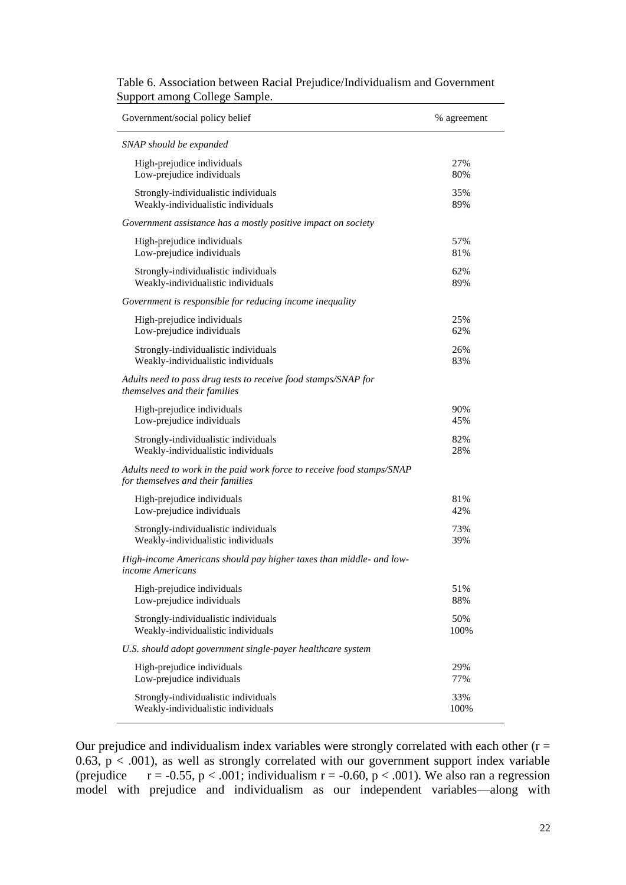| Government/social policy belief                                                                             | % agreement |
|-------------------------------------------------------------------------------------------------------------|-------------|
| SNAP should be expanded                                                                                     |             |
| High-prejudice individuals                                                                                  | 27%         |
| Low-prejudice individuals                                                                                   | 80%         |
| Strongly-individualistic individuals                                                                        | 35%         |
| Weakly-individualistic individuals                                                                          | 89%         |
| Government assistance has a mostly positive impact on society                                               |             |
| High-prejudice individuals                                                                                  | 57%         |
| Low-prejudice individuals                                                                                   | 81%         |
| Strongly-individualistic individuals                                                                        | 62%         |
| Weakly-individualistic individuals                                                                          | 89%         |
| Government is responsible for reducing income inequality                                                    |             |
| High-prejudice individuals                                                                                  | 25%         |
| Low-prejudice individuals                                                                                   | 62%         |
| Strongly-individualistic individuals                                                                        | 26%         |
| Weakly-individualistic individuals                                                                          | 83%         |
| Adults need to pass drug tests to receive food stamps/SNAP for<br>themselves and their families             |             |
| High-prejudice individuals                                                                                  | 90%         |
| Low-prejudice individuals                                                                                   | 45%         |
| Strongly-individualistic individuals                                                                        | 82%         |
| Weakly-individualistic individuals                                                                          | 28%         |
| Adults need to work in the paid work force to receive food stamps/SNAP<br>for themselves and their families |             |
| High-prejudice individuals                                                                                  | 81%         |
| Low-prejudice individuals                                                                                   | 42%         |
| Strongly-individualistic individuals                                                                        | 73%         |
| Weakly-individualistic individuals                                                                          | 39%         |
| High-income Americans should pay higher taxes than middle- and low-<br>income Americans                     |             |
| High-prejudice individuals                                                                                  | 51%         |
| Low-prejudice individuals                                                                                   | 88%         |
| Strongly-individualistic individuals                                                                        | 50%         |
| Weakly-individualistic individuals                                                                          | 100%        |
| U.S. should adopt government single-payer healthcare system                                                 |             |
| High-prejudice individuals                                                                                  | 29%         |
| Low-prejudice individuals                                                                                   | 77%         |
| Strongly-individualistic individuals                                                                        | 33%         |
| Weakly-individualistic individuals                                                                          | 100%        |

#### Table 6. Association between Racial Prejudice/Individualism and Government Support among College Sample.

Our prejudice and individualism index variables were strongly correlated with each other  $(r =$ 0.63,  $p < .001$ ), as well as strongly correlated with our government support index variable (prejudice  $r = -0.55$ , p < .001; individualism r = -0.60, p < .001). We also ran a regression model with prejudice and individualism as our independent variables—along with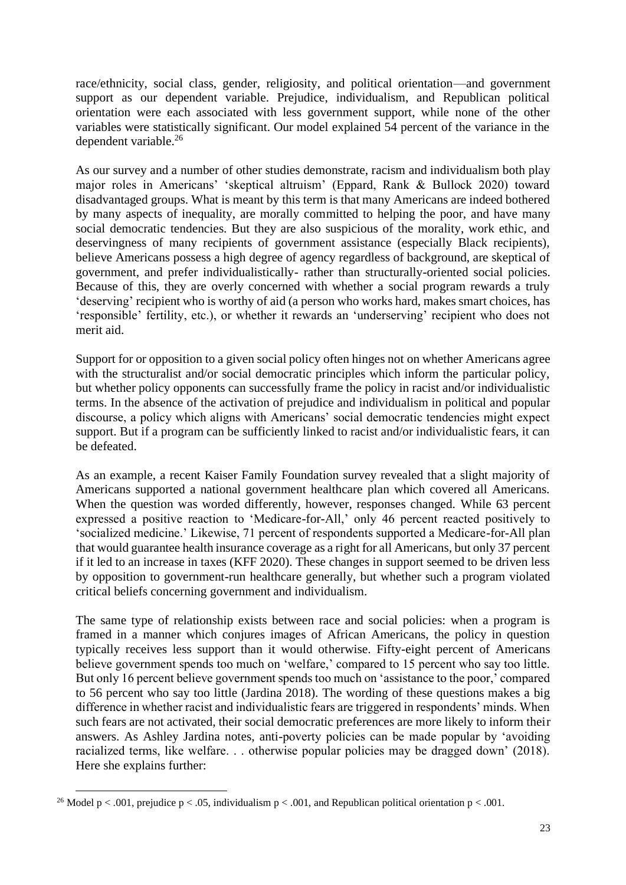race/ethnicity, social class, gender, religiosity, and political orientation—and government support as our dependent variable. Prejudice, individualism, and Republican political orientation were each associated with less government support, while none of the other variables were statistically significant. Our model explained 54 percent of the variance in the dependent variable.<sup>26</sup>

As our survey and a number of other studies demonstrate, racism and individualism both play major roles in Americans' 'skeptical altruism' (Eppard, Rank & Bullock 2020) toward disadvantaged groups. What is meant by this term is that many Americans are indeed bothered by many aspects of inequality, are morally committed to helping the poor, and have many social democratic tendencies. But they are also suspicious of the morality, work ethic, and deservingness of many recipients of government assistance (especially Black recipients), believe Americans possess a high degree of agency regardless of background, are skeptical of government, and prefer individualistically- rather than structurally-oriented social policies. Because of this, they are overly concerned with whether a social program rewards a truly 'deserving' recipient who is worthy of aid (a person who works hard, makes smart choices, has 'responsible' fertility, etc.), or whether it rewards an 'underserving' recipient who does not merit aid.

Support for or opposition to a given social policy often hinges not on whether Americans agree with the structuralist and/or social democratic principles which inform the particular policy, but whether policy opponents can successfully frame the policy in racist and/or individualistic terms. In the absence of the activation of prejudice and individualism in political and popular discourse, a policy which aligns with Americans' social democratic tendencies might expect support. But if a program can be sufficiently linked to racist and/or individualistic fears, it can be defeated.

As an example, a recent Kaiser Family Foundation survey revealed that a slight majority of Americans supported a national government healthcare plan which covered all Americans. When the question was worded differently, however, responses changed. While 63 percent expressed a positive reaction to 'Medicare-for-All,' only 46 percent reacted positively to 'socialized medicine.' Likewise, 71 percent of respondents supported a Medicare-for-All plan that would guarantee health insurance coverage as a right for all Americans, but only 37 percent if it led to an increase in taxes (KFF 2020). These changes in support seemed to be driven less by opposition to government-run healthcare generally, but whether such a program violated critical beliefs concerning government and individualism.

The same type of relationship exists between race and social policies: when a program is framed in a manner which conjures images of African Americans, the policy in question typically receives less support than it would otherwise. Fifty-eight percent of Americans believe government spends too much on 'welfare,' compared to 15 percent who say too little. But only 16 percent believe government spends too much on 'assistance to the poor,' compared to 56 percent who say too little (Jardina 2018). The wording of these questions makes a big difference in whether racist and individualistic fears are triggered in respondents' minds. When such fears are not activated, their social democratic preferences are more likely to inform their answers. As Ashley Jardina notes, anti-poverty policies can be made popular by 'avoiding racialized terms, like welfare. . . otherwise popular policies may be dragged down' (2018). Here she explains further:

<sup>&</sup>lt;sup>26</sup> Model p < .001, prejudice p < .05, individualism p < .001, and Republican political orientation p < .001.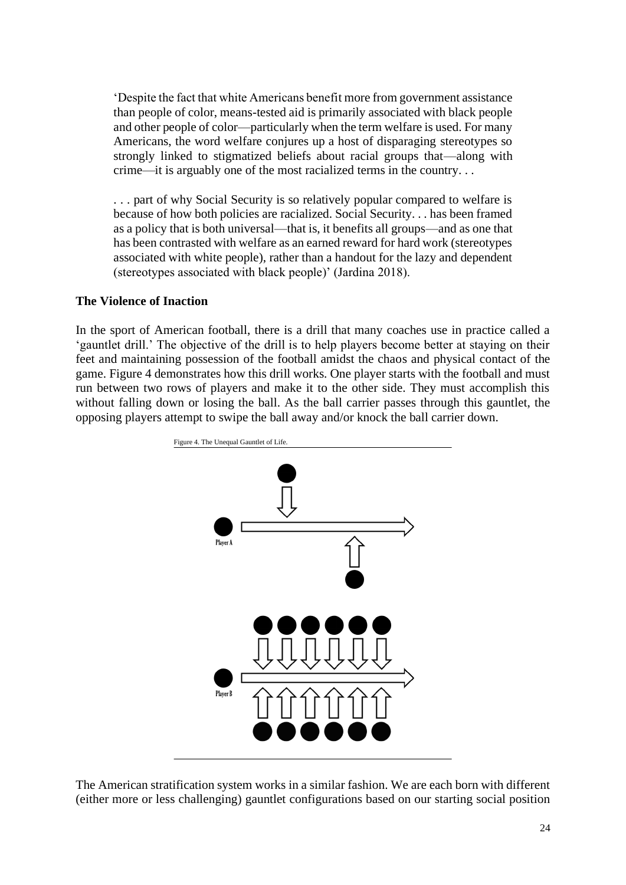'Despite the fact that white Americans benefit more from government assistance than people of color, means-tested aid is primarily associated with black people and other people of color—particularly when the term welfare is used. For many Americans, the word welfare conjures up a host of disparaging stereotypes so strongly linked to stigmatized beliefs about racial groups that—along with crime—it is arguably one of the most racialized terms in the country. . .

. . . part of why Social Security is so relatively popular compared to welfare is because of how both policies are racialized. Social Security. . . has been framed as a policy that is both universal—that is, it benefits all groups—and as one that has been contrasted with welfare as an earned reward for hard work (stereotypes associated with white people), rather than a handout for the lazy and dependent (stereotypes associated with black people)' (Jardina 2018).

#### **The Violence of Inaction**

In the sport of American football, there is a drill that many coaches use in practice called a 'gauntlet drill.' The objective of the drill is to help players become better at staying on their feet and maintaining possession of the football amidst the chaos and physical contact of the game. Figure 4 demonstrates how this drill works. One player starts with the football and must run between two rows of players and make it to the other side. They must accomplish this without falling down or losing the ball. As the ball carrier passes through this gauntlet, the opposing players attempt to swipe the ball away and/or knock the ball carrier down.



The American stratification system works in a similar fashion. We are each born with different (either more or less challenging) gauntlet configurations based on our starting social position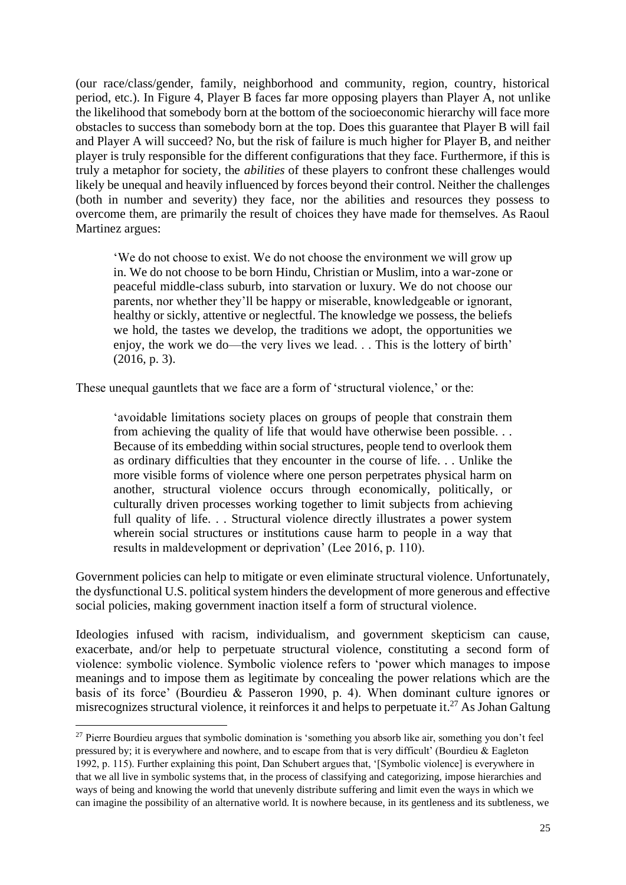(our race/class/gender, family, neighborhood and community, region, country, historical period, etc.). In Figure 4, Player B faces far more opposing players than Player A, not unlike the likelihood that somebody born at the bottom of the socioeconomic hierarchy will face more obstacles to success than somebody born at the top. Does this guarantee that Player B will fail and Player A will succeed? No, but the risk of failure is much higher for Player B, and neither player is truly responsible for the different configurations that they face. Furthermore, if this is truly a metaphor for society, the *abilities* of these players to confront these challenges would likely be unequal and heavily influenced by forces beyond their control. Neither the challenges (both in number and severity) they face, nor the abilities and resources they possess to overcome them, are primarily the result of choices they have made for themselves. As Raoul Martinez argues:

'We do not choose to exist. We do not choose the environment we will grow up in. We do not choose to be born Hindu, Christian or Muslim, into a war-zone or peaceful middle-class suburb, into starvation or luxury. We do not choose our parents, nor whether they'll be happy or miserable, knowledgeable or ignorant, healthy or sickly, attentive or neglectful. The knowledge we possess, the beliefs we hold, the tastes we develop, the traditions we adopt, the opportunities we enjoy, the work we do—the very lives we lead. . . This is the lottery of birth' (2016, p. 3).

These unequal gauntlets that we face are a form of 'structural violence,' or the:

'avoidable limitations society places on groups of people that constrain them from achieving the quality of life that would have otherwise been possible. . . Because of its embedding within social structures, people tend to overlook them as ordinary difficulties that they encounter in the course of life. . . Unlike the more visible forms of violence where one person perpetrates physical harm on another, structural violence occurs through economically, politically, or culturally driven processes working together to limit subjects from achieving full quality of life. . . Structural violence directly illustrates a power system wherein social structures or institutions cause harm to people in a way that results in maldevelopment or deprivation' (Lee 2016, p. 110).

Government policies can help to mitigate or even eliminate structural violence. Unfortunately, the dysfunctional U.S. political system hinders the development of more generous and effective social policies, making government inaction itself a form of structural violence.

Ideologies infused with racism, individualism, and government skepticism can cause, exacerbate, and/or help to perpetuate structural violence, constituting a second form of violence: symbolic violence. Symbolic violence refers to 'power which manages to impose meanings and to impose them as legitimate by concealing the power relations which are the basis of its force' (Bourdieu & Passeron 1990, p. 4). When dominant culture ignores or misrecognizes structural violence, it reinforces it and helps to perpetuate it.<sup>27</sup> As Johan Galtung

 $27$  Pierre Bourdieu argues that symbolic domination is 'something you absorb like air, something you don't feel pressured by; it is everywhere and nowhere, and to escape from that is very difficult' (Bourdieu & Eagleton 1992, p. 115). Further explaining this point, Dan Schubert argues that, '[Symbolic violence] is everywhere in that we all live in symbolic systems that, in the process of classifying and categorizing, impose hierarchies and ways of being and knowing the world that unevenly distribute suffering and limit even the ways in which we can imagine the possibility of an alternative world. It is nowhere because, in its gentleness and its subtleness, we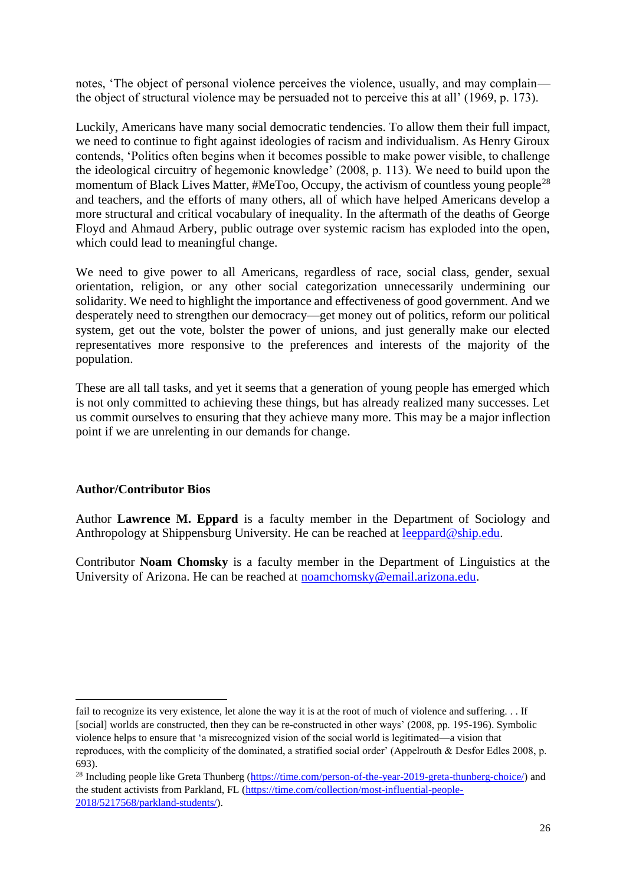notes, 'The object of personal violence perceives the violence, usually, and may complain the object of structural violence may be persuaded not to perceive this at all' (1969, p. 173).

Luckily, Americans have many social democratic tendencies. To allow them their full impact, we need to continue to fight against ideologies of racism and individualism. As Henry Giroux contends, 'Politics often begins when it becomes possible to make power visible, to challenge the ideological circuitry of hegemonic knowledge' (2008, p. 113). We need to build upon the momentum of Black Lives Matter,  $\# \text{MeToo}$ , Occupy, the activism of countless young people<sup>28</sup> and teachers, and the efforts of many others, all of which have helped Americans develop a more structural and critical vocabulary of inequality. In the aftermath of the deaths of George Floyd and Ahmaud Arbery, public outrage over systemic racism has exploded into the open, which could lead to meaningful change.

We need to give power to all Americans, regardless of race, social class, gender, sexual orientation, religion, or any other social categorization unnecessarily undermining our solidarity. We need to highlight the importance and effectiveness of good government. And we desperately need to strengthen our democracy—get money out of politics, reform our political system, get out the vote, bolster the power of unions, and just generally make our elected representatives more responsive to the preferences and interests of the majority of the population.

These are all tall tasks, and yet it seems that a generation of young people has emerged which is not only committed to achieving these things, but has already realized many successes. Let us commit ourselves to ensuring that they achieve many more. This may be a major inflection point if we are unrelenting in our demands for change.

#### **Author/Contributor Bios**

Author **Lawrence M. Eppard** is a faculty member in the Department of Sociology and Anthropology at Shippensburg University. He can be reached at [leeppard@ship.edu.](about:blank)

Contributor **Noam Chomsky** is a faculty member in the Department of Linguistics at the University of Arizona. He can be reached at [noamchomsky@email.arizona.edu.](about:blank)

fail to recognize its very existence, let alone the way it is at the root of much of violence and suffering. . . If [social] worlds are constructed, then they can be re-constructed in other ways' (2008, pp. 195-196). Symbolic violence helps to ensure that 'a misrecognized vision of the social world is legitimated—a vision that reproduces, with the complicity of the dominated, a stratified social order' (Appelrouth & Desfor Edles 2008, p. 693).

<sup>&</sup>lt;sup>28</sup> Including people like Greta Thunberg [\(https://time.com/person-of-the-year-2019-greta-thunberg-choice/\)](about:blank) and the student activists from Parkland, FL [\(https://time.com/collection/most-influential-people-](about:blank)[2018/5217568/parkland-students/\)](about:blank).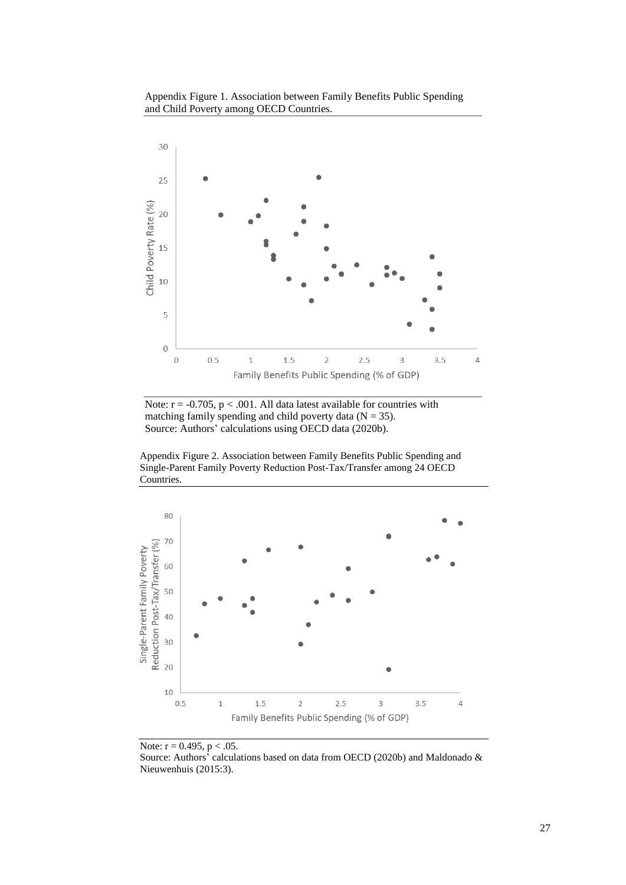



Note:  $r = -0.705$ ,  $p < .001$ . All data latest available for countries with matching family spending and child poverty data  $(N = 35)$ . Source: Authors' calculations using OECD data (2020b).

Appendix Figure 2. Association between Family Benefits Public Spending and Single-Parent Family Poverty Reduction Post-Tax/Transfer among 24 OECD Countries.



Note:  $r = 0.495$ ,  $p < .05$ .

Source: Authors' calculations based on data from OECD (2020b) and Maldonado & Nieuwenhuis (2015:3).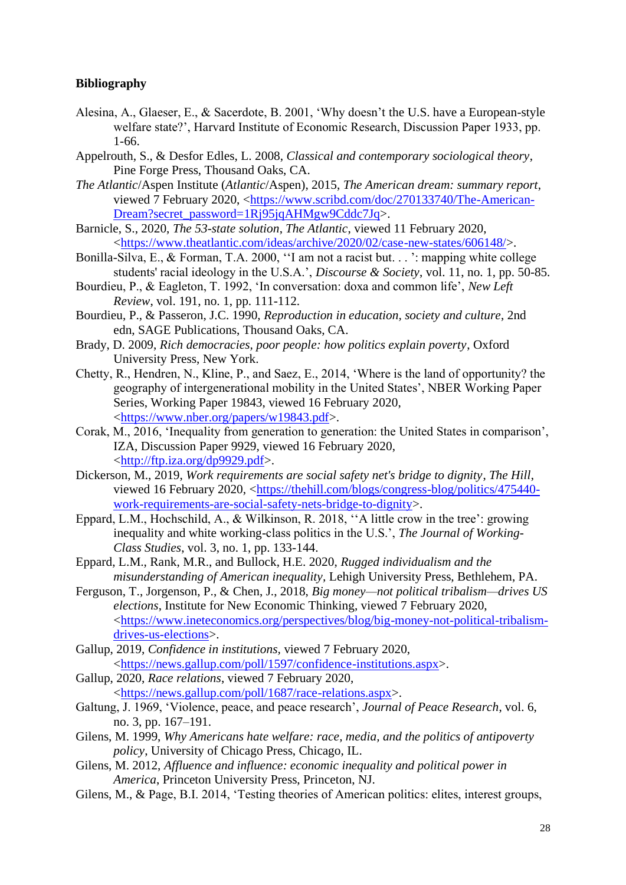#### **Bibliography**

- Alesina, A., Glaeser, E., & Sacerdote, B. 2001, 'Why doesn't the U.S. have a European-style welfare state?', Harvard Institute of Economic Research, Discussion Paper 1933, pp. 1-66.
- Appelrouth, S., & Desfor Edles, L. 2008, *Classical and contemporary sociological theory*, Pine Forge Press, Thousand Oaks, CA.
- *The Atlantic*/Aspen Institute (*Atlantic*/Aspen), 2015, *The American dream: summary report*, viewed 7 February 2020, [<https://www.scribd.com/doc/270133740/The-American-](about:blank)[Dream?secret\\_password=1Rj95jqAHMgw9Cddc7Jq>](about:blank).
- Barnicle, S., 2020, *The 53-state solution*, *The Atlantic*, viewed 11 February 2020, [<https://www.theatlantic.com/ideas/archive/2020/02/case-new-states/606148/>](about:blank).
- Bonilla-Silva, E., & Forman, T.A. 2000, ''I am not a racist but. . . ': mapping white college students' racial ideology in the U.S.A.', *Discourse & Society*, vol. 11, no. 1, pp. 50-85.
- Bourdieu, P., & Eagleton, T. 1992, 'In conversation: doxa and common life', *New Left Review*, vol. 191, no. 1, pp. 111-112.
- Bourdieu, P., & Passeron, J.C. 1990, *Reproduction in education, society and culture*, 2nd edn, SAGE Publications, Thousand Oaks, CA.
- Brady, D. 2009, *Rich democracies, poor people: how politics explain poverty*, Oxford University Press, New York.
- Chetty, R., Hendren, N., Kline, P., and Saez, E., 2014, 'Where is the land of opportunity? the geography of intergenerational mobility in the United States', NBER Working Paper Series, Working Paper 19843, viewed 16 February 2020, [<https://www.nber.org/papers/w19843.pdf>](about:blank).
- Corak, M., 2016, 'Inequality from generation to generation: the United States in comparison', IZA, Discussion Paper 9929, viewed 16 February 2020, [<http://ftp.iza.org/dp9929.pdf>](about:blank).
- Dickerson, M., 2019, *Work requirements are social safety net's bridge to dignity*, *The Hill*, viewed 16 February 2020, [<https://thehill.com/blogs/congress-blog/politics/475440](about:blank) [work-requirements-are-social-safety-nets-bridge-to-dignity>](about:blank).
- Eppard, L.M., Hochschild, A., & Wilkinson, R. 2018, ''A little crow in the tree': growing inequality and white working-class politics in the U.S.', *The Journal of Working-Class Studies*, vol. 3, no. 1, pp. 133-144.
- Eppard, L.M., Rank, M.R., and Bullock, H.E. 2020, *Rugged individualism and the misunderstanding of American inequality,* Lehigh University Press, Bethlehem, PA.
- Ferguson, T., Jorgenson, P., & Chen, J., 2018, *Big money—not political tribalism—drives US elections*, Institute for New Economic Thinking, viewed 7 February 2020, [<https://www.ineteconomics.org/perspectives/blog/big-money-not-political-tribalism](about:blank)[drives-us-elections>](about:blank).
- Gallup, 2019, *Confidence in institutions,* viewed 7 February 2020, [<https://news.gallup.com/poll/1597/confidence-institutions.aspx>](about:blank).
- Gallup, 2020, *Race relations*, viewed 7 February 2020, [<https://news.gallup.com/poll/1687/race-relations.aspx>](about:blank).
- Galtung, J. 1969, 'Violence, peace, and peace research', *Journal of Peace Research*, vol. 6, no. 3, pp. 167–191.
- Gilens, M. 1999, *Why Americans hate welfare: race, media, and the politics of antipoverty policy*, University of Chicago Press, Chicago, IL.
- Gilens, M. 2012, *Affluence and influence: economic inequality and political power in America*, Princeton University Press, Princeton, NJ.
- Gilens, M., & Page, B.I. 2014, 'Testing theories of American politics: elites, interest groups,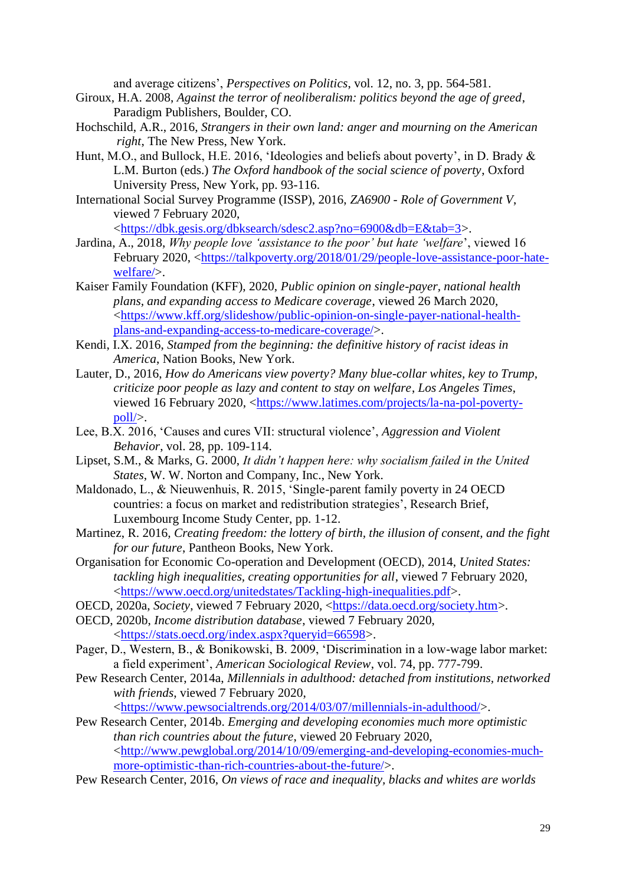and average citizens', *Perspectives on Politics*, vol. 12, no. 3, pp. 564-581.

- Giroux, H.A. 2008, *Against the terror of neoliberalism: politics beyond the age of greed*, Paradigm Publishers, Boulder, CO.
- Hochschild, A.R., 2016, *Strangers in their own land: anger and mourning on the American right*, The New Press, New York.
- Hunt, M.O., and Bullock, H.E. 2016, 'Ideologies and beliefs about poverty', in D. Brady & L.M. Burton (eds.) *The Oxford handbook of the social science of poverty*, Oxford University Press, New York, pp. 93-116.
- International Social Survey Programme (ISSP), 2016, *ZA6900 - Role of Government V*, viewed 7 February 2020,

[<https://dbk.gesis.org/dbksearch/sdesc2.asp?no=6900&db=E&tab=3>](about:blank).

- Jardina, A., 2018, *Why people love 'assistance to the poor' but hate 'welfare*', viewed 16 February 2020, [<https://talkpoverty.org/2018/01/29/people-love-assistance-poor-hate](about:blank)[welfare/>](about:blank).
- Kaiser Family Foundation (KFF), 2020, *Public opinion on single-payer, national health plans, and expanding access to Medicare coverage*, viewed 26 March 2020, [<https://www.kff.org/slideshow/public-opinion-on-single-payer-national-health](about:blank)[plans-and-expanding-access-to-medicare-coverage/>](about:blank).
- Kendi, I.X. 2016, *Stamped from the beginning: the definitive history of racist ideas in America*, Nation Books, New York.
- Lauter, D., 2016, *How do Americans view poverty? Many blue-collar whites, key to Trump, criticize poor people as lazy and content to stay on welfare*, *Los Angeles Times*, viewed 16 February 2020, [<https://www.latimes.com/projects/la-na-pol-poverty](about:blank)[poll/>](about:blank).
- Lee, B.X. 2016, 'Causes and cures VII: structural violence', *Aggression and Violent Behavior*, vol. 28, pp. 109-114.
- Lipset, S.M., & Marks, G. 2000, *It didn't happen here: why socialism failed in the United States*, W. W. Norton and Company, Inc., New York.
- Maldonado, L., & Nieuwenhuis, R. 2015, 'Single-parent family poverty in 24 OECD countries: a focus on market and redistribution strategies', Research Brief, Luxembourg Income Study Center, pp. 1-12.
- Martinez, R. 2016*, Creating freedom: the lottery of birth, the illusion of consent, and the fight for our future*, Pantheon Books, New York.
- Organisation for Economic Co-operation and Development (OECD), 2014, *United States: tackling high inequalities, creating opportunities for all*, viewed 7 February 2020, [<https://www.oecd.org/unitedstates/Tackling-high-inequalities.pdf>](about:blank).
- OECD, 2020a, *Society*, viewed 7 February 2020, [<https://data.oecd.org/society.htm>](about:blank).
- OECD, 2020b, *Income distribution database*, viewed 7 February 2020, [<https://stats.oecd.org/index.aspx?queryid=66598>](about:blank).
- Pager, D., Western, B., & Bonikowski, B. 2009, 'Discrimination in a low-wage labor market: a field experiment', *American Sociological Review*, vol. 74, pp. 777-799.
- Pew Research Center, 2014a, *Millennials in adulthood: detached from institutions, networked with friends*, viewed 7 February 2020,

[<https://www.pewsocialtrends.org/2014/03/07/millennials-in-adulthood/>](about:blank).

Pew Research Center, 2014b. *Emerging and developing economies much more optimistic than rich countries about the future*, viewed 20 February 2020, [<http://www.pewglobal.org/2014/10/09/emerging-and-developing-economies-much](about:blank)[more-optimistic-than-rich-countries-about-the-future/>](about:blank).

Pew Research Center, 2016, *On views of race and inequality, blacks and whites are worlds*